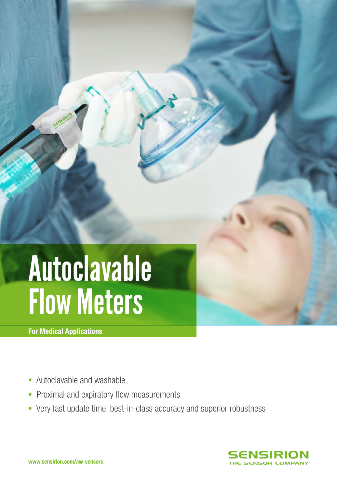# Autoclavable Flow Meters

For Medical Applications

- Autoclavable and washable
- **Proximal and expiratory flow measurements**
- § Very fast update time, best-in-class accuracy and superior robustness